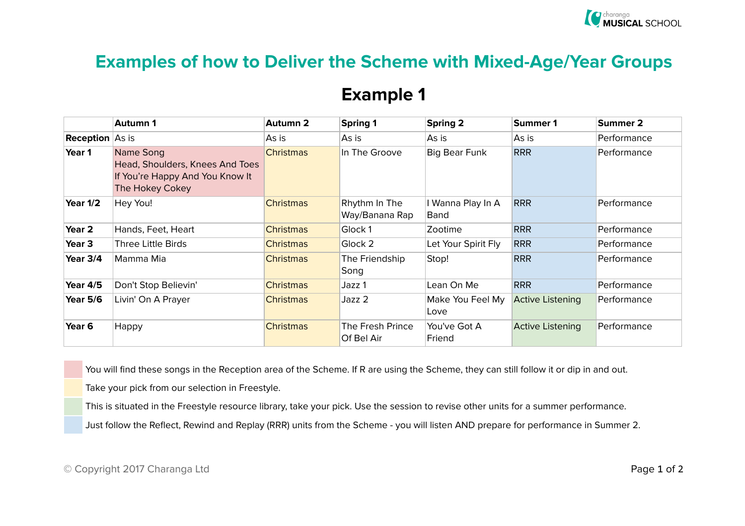## **Examples of how to Deliver the Scheme with Mixed-Age/Year Groups**

## **Example 1**

|                        | <b>Autumn 1</b>                                                                                    | Autumn 2         | <b>Spring 1</b>                 | Spring 2                  | Summer 1                | Summer 2    |
|------------------------|----------------------------------------------------------------------------------------------------|------------------|---------------------------------|---------------------------|-------------------------|-------------|
| <b>Reception</b> As is |                                                                                                    | As is            | As is                           | As is                     | As is                   | Performance |
| Year 1                 | Name Song<br>Head, Shoulders, Knees And Toes<br>If You're Happy And You Know It<br>The Hokey Cokey | <b>Christmas</b> | In The Groove                   | Big Bear Funk             | <b>RRR</b>              | Performance |
| Year 1/2               | Hey You!                                                                                           | <b>Christmas</b> | Rhythm In The<br>Way/Banana Rap | I Wanna Play In A<br>Band | <b>RRR</b>              | Performance |
| Year 2                 | Hands, Feet, Heart                                                                                 | <b>Christmas</b> | Glock 1                         | Zootime                   | <b>RRR</b>              | Performance |
| Year <sub>3</sub>      | <b>Three Little Birds</b>                                                                          | <b>Christmas</b> | Glock 2                         | Let Your Spirit Fly       | <b>RRR</b>              | Performance |
| Year 3/4               | Mamma Mia                                                                                          | <b>Christmas</b> | The Friendship<br>Song          | Stop!                     | <b>RRR</b>              | Performance |
| <b>Year 4/5</b>        | Don't Stop Believin'                                                                               | <b>Christmas</b> | Jazz 1                          | Lean On Me                | <b>RRR</b>              | Performance |
| <b>Year 5/6</b>        | Livin' On A Prayer                                                                                 | <b>Christmas</b> | Jazz 2                          | Make You Feel My<br>Love  | <b>Active Listening</b> | Performance |
| Year <sub>6</sub>      | Happy                                                                                              | <b>Christmas</b> | The Fresh Prince<br>Of Bel Air  | You've Got A<br>Friend    | <b>Active Listening</b> | Performance |

You will find these songs in the Reception area of the Scheme. If R are using the Scheme, they can still follow it or dip in and out.

Take your pick from our selection in Freestyle.

This is situated in the Freestyle resource library, take your pick. Use the session to revise other units for a summer performance.

Just follow the Reflect, Rewind and Replay (RRR) units from the Scheme - you will listen AND prepare for performance in Summer 2.